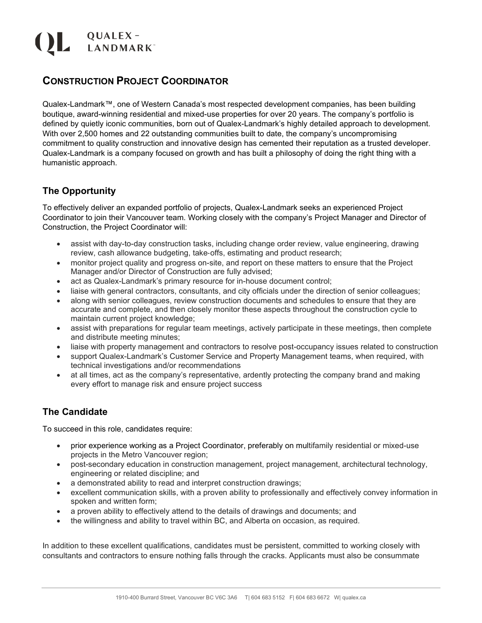# QUALEX-<br>ANDMARK

## **CONSTRUCTION PROJECT COORDINATOR**

Qualex-Landmark™, one of Western Canada's most respected development companies, has been building boutique, award-winning residential and mixed-use properties for over 20 years. The company's portfolio is defined by quietly iconic communities, born out of Qualex-Landmark's highly detailed approach to development. With over 2,500 homes and 22 outstanding communities built to date, the company's uncompromising commitment to quality construction and innovative design has cemented their reputation as a trusted developer. Qualex-Landmark is a company focused on growth and has built a philosophy of doing the right thing with a humanistic approach.

#### **The Opportunity**

To effectively deliver an expanded portfolio of projects, Qualex-Landmark seeks an experienced Project Coordinator to join their Vancouver team. Working closely with the company's Project Manager and Director of Construction, the Project Coordinator will:

- assist with day-to-day construction tasks, including change order review, value engineering, drawing review, cash allowance budgeting, take‐offs, estimating and product research;
- monitor project quality and progress on-site, and report on these matters to ensure that the Project Manager and/or Director of Construction are fully advised;
- act as Qualex-Landmark's primary resource for in-house document control;
- liaise with general contractors, consultants, and city officials under the direction of senior colleagues;
- along with senior colleagues, review construction documents and schedules to ensure that they are accurate and complete, and then closely monitor these aspects throughout the construction cycle to maintain current project knowledge;
- assist with preparations for regular team meetings, actively participate in these meetings, then complete and distribute meeting minutes;
- liaise with property management and contractors to resolve post-occupancy issues related to construction
- support Qualex-Landmark's Customer Service and Property Management teams, when required, with technical investigations and/or recommendations
- at all times, act as the company's representative, ardently protecting the company brand and making every effort to manage risk and ensure project success

### **The Candidate**

To succeed in this role, candidates require:

- prior experience working as a Project Coordinator, preferably on multifamily residential or mixed-use projects in the Metro Vancouver region;
- post-secondary education in construction management, project management, architectural technology, engineering or related discipline; and
- a demonstrated ability to read and interpret construction drawings;
- excellent communication skills, with a proven ability to professionally and effectively convey information in spoken and written form;
- a proven ability to effectively attend to the details of drawings and documents; and
- the willingness and ability to travel within BC, and Alberta on occasion, as required.

In addition to these excellent qualifications, candidates must be persistent, committed to working closely with consultants and contractors to ensure nothing falls through the cracks. Applicants must also be consummate